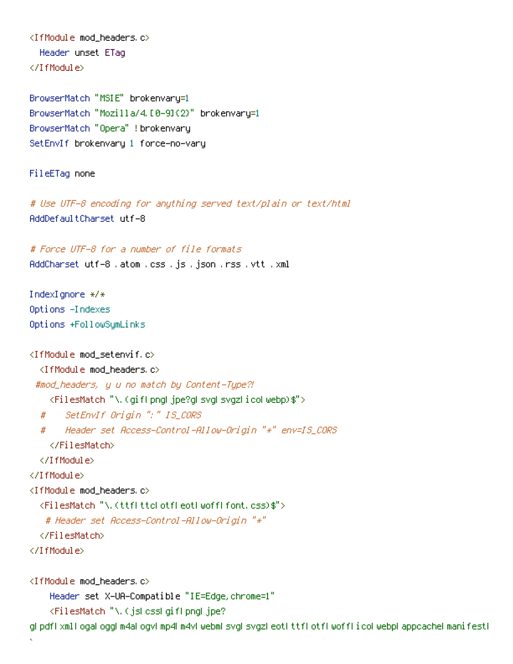<IfModule mod\_headers.c> Header unset ETag </IfModule>

BrowserMatch "MSIE" brokenvary=1 BrowserMatch "Mozilla/4.[0-9]{2}" brokenvary=1 BrowserMatch "Opera" !brokenvary SetEnvIf brokenvary 1 force-no-vary

FileETag none

# Use UTF-8 encoding for anything served text/plain or text/html AddDefaultCharset utf-8

# Force UTF-8 for <sup>a</sup> number of file formats AddCharset utf-8 .atom .css .js .json .rss .vtt .xml

IndexIgnore \*/\* Options -Indexes Options +FollowSymLinks

>

```
<IfModule mod_setenvif.c>
  <IfModule mod_headers.c>
 #mod_headers, y u no match by Content-Type?!
    <FilesMatch "\.(gif|png|jpe?g|svg|svgz|ico|webp)$">
  # SetEnvIf Origin ":" IS_CORS
  # Header set Access-Control-Allow-Origin "*" env=IS_CORS
    </FilesMatch>
  </IfModule>
</IfModule>
<IfModule mod_headers.c>
  <FilesMatch "\.(ttf|ttc|otf|eot|woff|font.css)$">
   # Header set Access-Control-Allow-Origin "*"
  </FilesMatch>
</IfModule>
<IfModule mod_headers.c>
    Header set X-UA-Compatible "IE=Edge,chrome=1"
    <FilesMatch "\.(js|css|gif|png|jpe?
```
g|pdf|xml|oga|ogg|m4a|ogv|mp4|m4v|webm|svg|svgz|eot|ttf|otf|woff|ico|webp|appcache|manifest|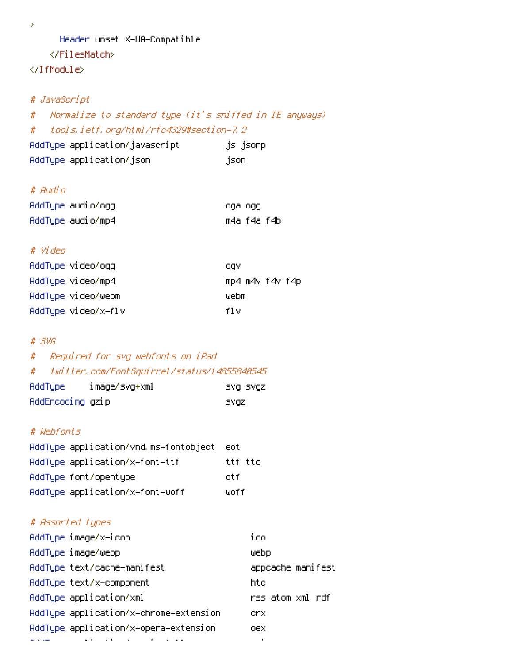>

### Header unset X-UA-Compatible

## </FilesMatch>

</IfModule>

#### # JavaScript

# Normalize to standard type (it's sniffed in IE anyways) # tools.ietf.org/html/rfc4329#section-7.2 AddType application/javascript is jsonp

AddType application/json ison json

## # Audio

| AddType audio/ogg | oga ogg     |  |
|-------------------|-------------|--|
| AddType audio/mp4 | m4a f4a f4b |  |

### # Video

| AddType video/ogg   | oav             |
|---------------------|-----------------|
| AddType video/mp4   | mp4 m4v f4v f4p |
| AddTupe video/webm  | webm            |
| AddType video/x-flv | fl v            |

#### # SVG

## # Required for svg webfonts on iPad # twitter.com/FontSquirrel/status/14855840545

| AddType          | image/svg+xml | SVQ SVQZ |
|------------------|---------------|----------|
| AddEncoding gzip |               | svaz     |

### # Webfonts

| AddType application/vnd.ms-fontobject | – eot   |
|---------------------------------------|---------|
| AddType application/x-font-ttf        | ttf ttc |
| AddType font/opentype                 | nt f    |
| AddType application/x-font-woff       | woff    |

# # Assorted types

| AddType image/x-icon                    | ico               |
|-----------------------------------------|-------------------|
| AddType image/webp                      | webp              |
| AddType text/cache-manifest             | appcache manifest |
| AddTupe text/x-component                | htc.              |
| AddTupe application/xml                 | rss atom xml rdf  |
| AddType application/x-chrome-extension  | crx.              |
| AddType application/x-opera-extension   | oex               |
| and the state of the state of the state | $\blacksquare$    |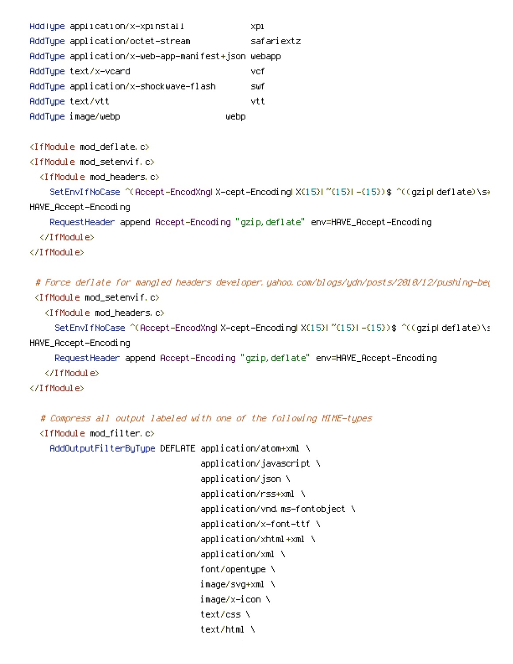| HddType application/x-xpinstall                    |      | XDI        |
|----------------------------------------------------|------|------------|
| AddTupe application/octet-stream                   |      | safariextz |
| AddType application/x-web-app-manifest+json webapp |      |            |
| AddTupe text/x-vcard                               |      | vcf        |
| AddTupe application/x-shockwave-flash              |      | s⊎f        |
| AddTupe text/vtt                                   |      | vtt        |
| AddType image/webp                                 | ⊎ebp |            |

<IfModule mod\_deflate.c>

```
<IfModule mod_setenvif.c>
```

```
<IfModule mod_headers.c>
```
SetEnvIfNoCase ^(Accept-EncodXngLX-cept-EncodingLX{15}L~{15}L-{15})\$ ^((gzipLdeflate)\s\*, HAVE\_Accept-Encoding

```
RequestHeader append Accept-Encoding "gzip,deflate" env=HAVE_Accept-Encoding
```
</IfModule>

</IfModule>

# Force deflate for mangled headers developer.yahoo.com/blogs/ydn/posts/2010/12/pushing-bey <IfModule mod\_setenvif.c> <IfModule mod\_headers.c>

```
SetEnvIfNoCase ^(Accept-EncodXngHX-cept-EncodingHX{15}H^{15}H-{15})$ ^((gzipHdeflate)\s
```
HAVE\_Accept-Encoding

RequestHeader append Accept-Encoding "gzip,deflate" env=HAVE\_Accept-Encoding

</IfModule>

</IfModule>

# Compress all output labeled with one of the following MIME-types

```
<IfModule mod_filter.c>
```
AddOutputFilterByType DEFLATE application/atom+xml \

application/javascript \ application/json \ application/rss+xml \ application/vnd.ms-fontobject \ application/x-font-ttf \ application/xhtml+xml \ application/xml \ font/opentype \ image/svg+xml \ image/x-icon \ text/css \ text/html \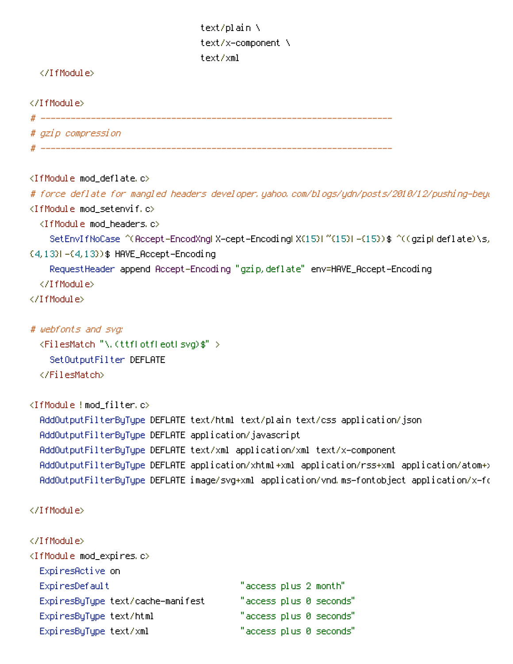text/plain \ text/x-component \ text/xml

#### </IfModule>

</IfModule>

 $\#$  -----------

# gzip compression

<IfModule mod\_deflate.c>

# force deflate for mangled headers developer.yahoo.com/blogs/ydn/posts/2010/12/pushing-beyo <IfModule mod\_setenvif.c>

<IfModule mod\_headers.c>

```
SetEnvIfNoCase ^(Accept-EncodXng|X-cept-Encoding|X{15}|~{15}|-{15})$ ^((gzip|deflate)\s,
```
{4,13}|-{4,13})\$ HAVE\_Accept-Encoding

RequestHeader append Accept-Encoding "gzip,deflate" env=HAVE\_Accept-Encoding

- </IfModule>
- </IfModule>

```
# webfonts and svg:
```

```
<FilesMatch "\.(ttf|otf|eot|svg)$" >
```
SetOutputFilter DEFLATE

</FilesMatch>

```
<IfModule !mod_filter.c>
```
AddOutputFilterByType DEFLATE text/html text/plain text/css application/json AddOutputFilterByType DEFLATE application/javascript AddOutputFilterByType DEFLATE text/xml application/xml text/x-component AddOutputFilterByType DEFLATE application/xhtml+xml application/rss+xml application/atom+> AddOutputFilterByType DEFLATE image/svg+xml application/vnd.ms-fontobject application/x-fo

```
</IfModule>
```

```
</IfModule>
<IfModule mod_expires.c>
 ExpiresActive on
 ExpiresDefault "access plus 2 month"
 ExpiresByType text/cache-manifest "access plus 0 seconds"
 ExpiresByType text/html "access plus 0 seconds"
 ExpiresByType text/xml "access plus 0 seconds"
```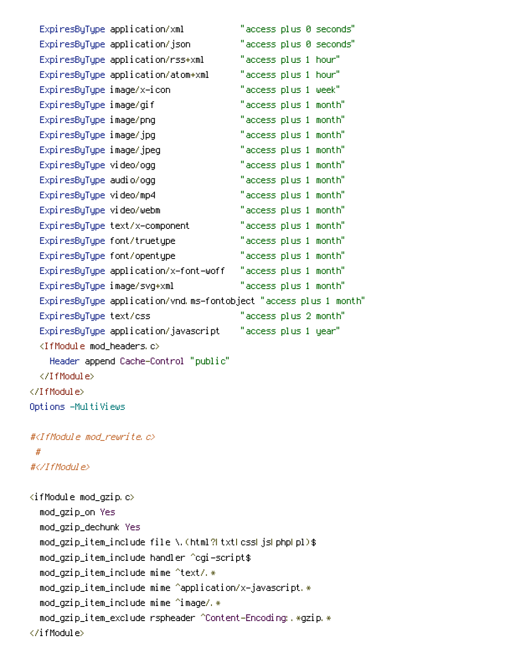|                                                          | ExpiresByType application/xml         | "access plus 0 seconds"                                           |  |
|----------------------------------------------------------|---------------------------------------|-------------------------------------------------------------------|--|
|                                                          | ExpiresByType application/json        | "access plus 0 seconds"                                           |  |
|                                                          | ExpiresByType application/rss+xml     | "access plus 1 hour"                                              |  |
|                                                          | ExpiresByType application/atom+xml    | "access plus 1 hour"                                              |  |
| ExpiresByType image/x-icon                               |                                       | "access plus 1 week"                                              |  |
| ExpiresByType image/gif                                  |                                       | "access plus 1 month"                                             |  |
| ExpiresByType image/png                                  |                                       | "access plus 1 month"                                             |  |
| ExpiresByType image/jpg                                  |                                       | "access plus 1 month"                                             |  |
| ExpiresByType image/jpeg                                 |                                       | "access plus 1 month"                                             |  |
| Expi resByType video/ogg                                 |                                       | "access plus 1 month"                                             |  |
| Expi resByType audio/ogg                                 |                                       | "access plus 1 month"                                             |  |
| ExpiresByType video/mp4                                  |                                       | "access plus 1 month"                                             |  |
| ExpiresByType video/webm                                 |                                       | "access plus 1 month"                                             |  |
|                                                          | ExpiresByType text/x-component        | "access plus 1 month"                                             |  |
|                                                          | ExpiresByType font/truetype           | "access plus 1 month"                                             |  |
|                                                          | ExpiresByType font/opentype           | "access plus 1 month"                                             |  |
|                                                          | ExpiresByType application/x-font-woff | "access plus 1 month"                                             |  |
|                                                          | ExpiresByType image/svg+xml           | "access plus 1 month"                                             |  |
|                                                          |                                       | ExpiresByType application/vnd.ms-fontobject "access plus 1 month" |  |
| ExpiresByType text/css                                   |                                       | "access plus 2 month"                                             |  |
|                                                          | ExpiresByType application/javascript  | "access plus 1 year"                                              |  |
| <ifmodule mod_headers.c=""></ifmodule>                   |                                       |                                                                   |  |
|                                                          | Header append Cache-Control "public"  |                                                                   |  |
|                                                          |                                       |                                                                   |  |
|                                                          |                                       |                                                                   |  |
| Options -MultiViews                                      |                                       |                                                                   |  |
| # <ifmodule mod_rewrite.c=""></ifmodule>                 |                                       |                                                                   |  |
| #                                                        |                                       |                                                                   |  |
| #                                                        |                                       |                                                                   |  |
| <ifmodule mod_gzip.c=""></ifmodule>                      |                                       |                                                                   |  |
| mod_gzip_on Yes                                          |                                       |                                                                   |  |
| mod_gzip_dechunk Yes                                     |                                       |                                                                   |  |
| mod_gzip_item_include file \.(html?LtxtLcssLjsLphpLpl)\$ |                                       |                                                                   |  |
| mod_gzip_item_include handler ^cgi-script\$              |                                       |                                                                   |  |
|                                                          |                                       |                                                                   |  |

mod\_gzip\_item\_include mime ^text/.\*

<code>mod\_gzip\_item\_include mime ^application/x-javascript.\*</code>

<code>mod\_gzip\_item\_include</code> <code>mime</code> ^image/.\*

mod\_gzip\_item\_exclude rspheader ^Content-Encoding:.\*gzip.\*

 $\langle$ ifModule $\rangle$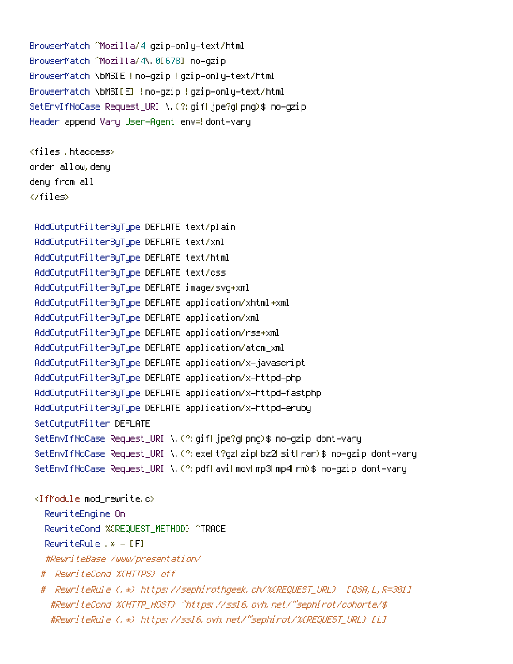```
BrowserMatch ^Mozilla/4 gzip-only-text/html
BrowserMatch ^Mozilla/4\.0[678] no-gzip
BrowserMatch \bMSIE !no-gzip !gzip-only-text/html
BrowserMatch \bMSI[E] !no-gzip !gzip-only-text/html
SetEnvIfNoCase Request_URI \.(?:gif|jpe?g|png)$ no-gzip
Header append Vary User-Agent env=! dont-vary
```

```
<files .htaccess>
order allow,deny
deny from all
</files>
```

```
AddOutputFilterByType DEFLATE text/plain
AddOutputFilterByType DEFLATE text/xml
AddOutputFilterByType DEFLATE text/html
AddOutputFilterByType DEFLATE text/css
AddOutputFilterByType DEFLATE image/svg+xml
AddOutputFilterByType DEFLATE application/xhtml+xml
AddOutputFilterByType DEFLATE application/xml
AddOutputFilterByType DEFLATE application/rss+xml
AddOutputFilterByType DEFLATE application/atom_xml
AddOutputFilterByType DEFLATE application/x-javascript
AddOutputFilterByType DEFLATE application/x-httpd-php
AddOutputFilterByType DEFLATE application/x-httpd-fastphp
AddOutputFilterByType DEFLATE application/x-httpd-eruby
SetOutputFilter DEFLATE
SetEnvIfNoCase Request_URI \.(?:gif|jpe?g|png)$ no-gzip dont-vary
SetEnvIfNoCase Request_URI \.(?:exe|t?gz|zip|bz2|sit|rar)$ no-gzip dont-vary
SetEnvIfNoCase Request_URI \.(?:pdf|avi|mov|mp3|mp4|rm)$ no-gzip dont-vary
<IfModule mod_rewrite.c>
  RewriteEngine On
  RewriteCond %{REQUEST_METHOD} ^TRACE
  RewriteRule .* - [F]
  #RewriteBase /www/presentation/
 # RewriteCond %{HTTPS} off
 # RewriteRule (.*) https://sephirothgeek.ch/%{REQUEST_URL} [QSA,L,R=301]
   #RewriteCond %{HTTP_HOST} ^https://ssl6.ovh.net/~sephirot/cohorte/$
```
#RewriteRule (.\*) https://ssl6.ovh.net/~sephirot/%{REQUEST\_URL} [L]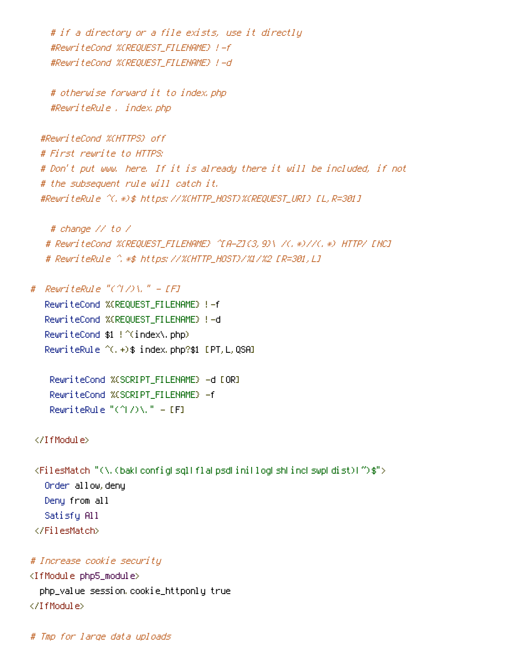```
# if a directory or a file exists, use it directly
#RewriteCond %{REQUEST_FILENAME} !-f
#RewriteCond %{REQUEST_FILENAME} !-d
```

```
# otherwise forward it to index.php
#RewriteRule . index.php
```
#RewriteCond %{HTTPS} off # First rewrite to HTTPS: # Don't put www. here. If it is already there it will be included, if not # the subsequent rule will catch it. #RewriteRule ^(.\*)\$ https://%{HTTP\_HOST}%{REQUEST\_URI} [L,R=301]

```
# change // to /
# RewriteCond %{REQUEST_FILENAME} ^[A-Z]{3,9}\ /(.*)//(.*) HTTP/ [NC]
# RewriteRule ^.*$ https://%{HTTP_HOST}/%1/%2 [R=301,L]
```
# RewriteRule "(^ $7/$ )\." - [F] RewriteCond %{REQUEST\_FILENAME} !-f RewriteCond %{REQUEST\_FILENAME} !-d RewriteCond \$1 !^(index\.php) RewriteRule ^(.+)\$ index.php?\$1 [PT,L,QSA]

RewriteCond %{SCRIPT\_FILENAME} -d [OR] RewriteCond %{SCRIPT\_FILENAME} -f RewriteRule " $(^{\circ}$ |/)\." - [F]

```
</IfModule>
```
<FilesMatch "(\.(bak|config|sql|fla|psd|ini|log|sh|inc|swp|dist)|~)\$"> Order allow,deny Deny from all Satisfy All </FilesMatch>

```
# Increase cookie security
```
<IfModule php5\_module> php\_value session.cookie\_httponly true </IfModule>